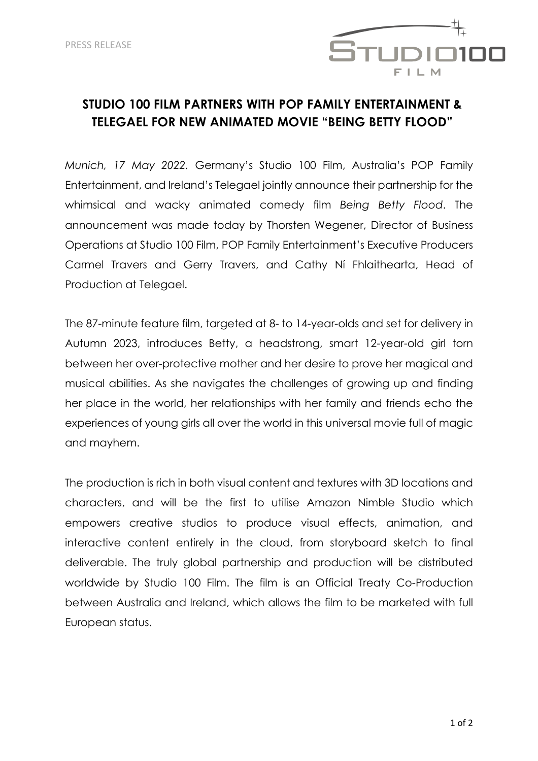

# **STUDIO 100 FILM PARTNERS WITH POP FAMILY ENTERTAINMENT & TELEGAEL FOR NEW ANIMATED MOVIE "BEING BETTY FLOOD"**

*Munich, 17 May 2022.* Germany's Studio 100 Film, Australia's POP Family Entertainment, and Ireland's Telegael jointly announce their partnership for the whimsical and wacky animated comedy film *Being Betty Flood*. The announcement was made today by Thorsten Wegener, Director of Business Operations at Studio 100 Film, POP Family Entertainment's Executive Producers Carmel Travers and Gerry Travers, and Cathy Ní Fhlaithearta, Head of Production at Telegael.

The 87-minute feature film, targeted at 8- to 14-year-olds and set for delivery in Autumn 2023, introduces Betty, a headstrong, smart 12-year-old girl torn between her over-protective mother and her desire to prove her magical and musical abilities. As she navigates the challenges of growing up and finding her place in the world, her relationships with her family and friends echo the experiences of young girls all over the world in this universal movie full of magic and mayhem.

The production is rich in both visual content and textures with 3D locations and characters, and will be the first to utilise Amazon Nimble Studio which empowers creative studios to produce visual effects, animation, and interactive content entirely in the cloud, from storyboard sketch to final deliverable. The truly global partnership and production will be distributed worldwide by Studio 100 Film. The film is an Official Treaty Co-Production between Australia and Ireland, which allows the film to be marketed with full European status.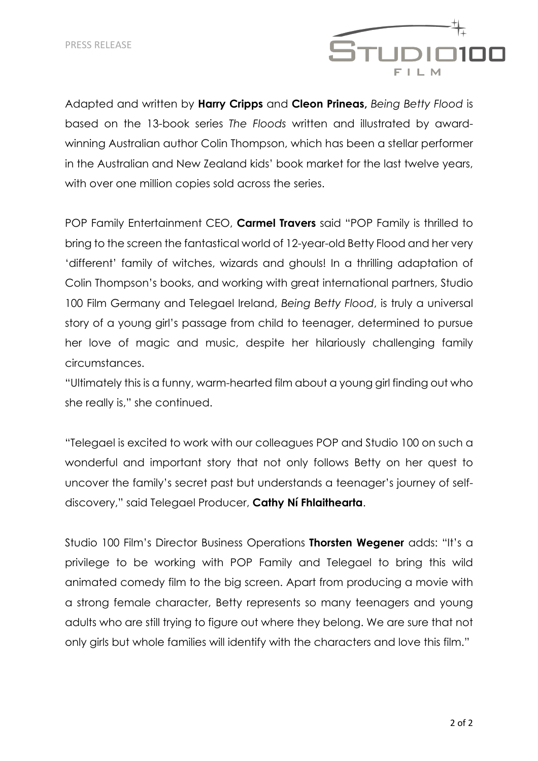

Adapted and written by **Harry Cripps** and **Cleon Prineas,** *Being Betty Flood* is based on the 13-book series *The Floods* written and illustrated by awardwinning Australian author Colin Thompson, which has been a stellar performer in the Australian and New Zealand kids' book market for the last twelve years, with over one million copies sold across the series.

POP Family Entertainment CEO, **Carmel Travers** said "POP Family is thrilled to bring to the screen the fantastical world of 12-year-old Betty Flood and her very 'different' family of witches, wizards and ghouls! In a thrilling adaptation of Colin Thompson's books, and working with great international partners, Studio 100 Film Germany and Telegael Ireland, *Being Betty Flood*, is truly a universal story of a young girl's passage from child to teenager, determined to pursue her love of magic and music, despite her hilariously challenging family circumstances.

"Ultimately this is a funny, warm-hearted film about a young girl finding out who she really is," she continued.

"Telegael is excited to work with our colleagues POP and Studio 100 on such a wonderful and important story that not only follows Betty on her quest to uncover the family's secret past but understands a teenager's journey of selfdiscovery," said Telegael Producer, **Cathy Ní Fhlaithearta**.

Studio 100 Film's Director Business Operations **Thorsten Wegener** adds: "It's a privilege to be working with POP Family and Telegael to bring this wild animated comedy film to the big screen. Apart from producing a movie with a strong female character, Betty represents so many teenagers and young adults who are still trying to figure out where they belong. We are sure that not only girls but whole families will identify with the characters and love this film."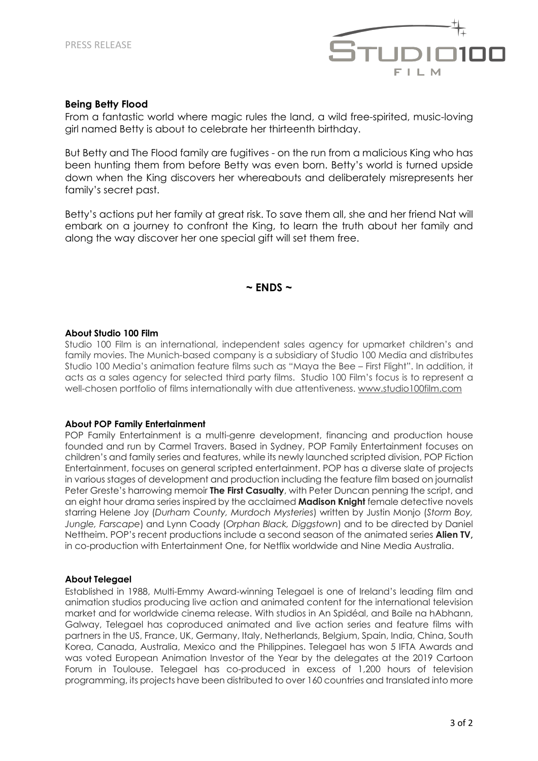

## **Being Betty Flood**

From a fantastic world where magic rules the land, a wild free-spirited, music-loving girl named Betty is about to celebrate her thirteenth birthday.

But Betty and The Flood family are fugitives - on the run from a malicious King who has been hunting them from before Betty was even born. Betty's world is turned upside down when the King discovers her whereabouts and deliberately misrepresents her family's secret past.

Betty's actions put her family at great risk. To save them all, she and her friend Nat will embark on a journey to confront the King, to learn the truth about her family and along the way discover her one special gift will set them free.

# **~ ENDS ~**

#### **About Studio 100 Film**

Studio 100 Film is an international, independent sales agency for upmarket children's and family movies. The Munich-based company is a subsidiary of Studio 100 Media and distributes Studio 100 Media's animation feature films such as "Maya the Bee – First Flight". In addition, it acts as a sales agency for selected third party films. Studio 100 Film's focus is to represent a well-chosen portfolio of films internationally with due attentiveness. www.studio100film.com

## **About POP Family Entertainment**

POP Family Entertainment is a multi-genre development, financing and production house founded and run by Carmel Travers. Based in Sydney, POP Family Entertainment focuses on children's and family series and features, while its newly launched scripted division, POP Fiction Entertainment, focuses on general scripted entertainment. POP has a diverse slate of projects in various stages of development and production including the feature film based on journalist Peter Greste's harrowing memoir **The First Casualty**, with Peter Duncan penning the script, and an eight hour drama series inspired by the acclaimed **Madison Knight** female detective novels starring Helene Joy (*Durham County, Murdoch Mysteries*) written by Justin Monjo (*Storm Boy, Jungle, Farscape*) and Lynn Coady (*Orphan Black, Diggstown*) and to be directed by Daniel Nettheim. POP's recent productions include a second season of the animated series **Alien TV,** in co-production with Entertainment One, for Netflix worldwide and Nine Media Australia.

## **About Telegael**

Established in 1988, Multi-Emmy Award-winning Telegael is one of Ireland's leading film and animation studios producing live action and animated content for the international television market and for worldwide cinema release. With studios in An Spidéal, and Baile na hAbhann, Galway, Telegael has coproduced animated and live action series and feature films with partners in the US, France, UK, Germany, Italy, Netherlands, Belgium, Spain, India, China, South Korea, Canada, Australia, Mexico and the Philippines. Telegael has won 5 IFTA Awards and was voted European Animation Investor of the Year by the delegates at the 2019 Cartoon Forum in Toulouse. Telegael has co-produced in excess of 1,200 hours of television programming, its projects have been distributed to over 160 countries and translated into more